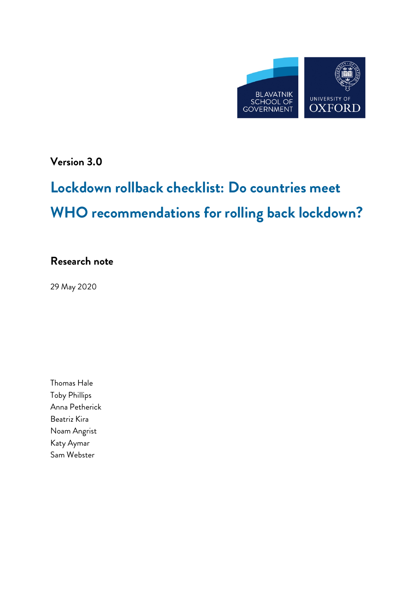

**Version 3.0**

# **Lockdown rollback checklist: Do countries meet WHO recommendations for rolling back lockdown?**

# **Research note**

29 May 2020

Thomas Hale Toby Phillips Anna Petherick Beatriz Kira Noam Angrist Katy Aymar Sam Webster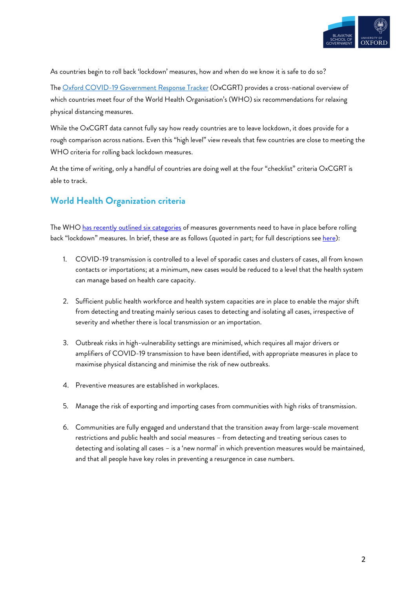

As countries begin to roll back 'lockdown' measures, how and when do we know it is safe to do so?

The Oxford COVID-19 Government Response Tracker (OxCGRT) provides a cross-national overview of which countries meet four of the World Health Organisation's (WHO) six recommendations for relaxing physical distancing measures.

While the OxCGRT data cannot fully say how ready countries are to leave lockdown, it does provide for a rough comparison across nations. Even this "high level" view reveals that few countries are close to meeting the WHO criteria for rolling back lockdown measures.

At the time of writing, only a handful of countries are doing well at the four "checklist" criteria OxCGRT is able to track.

# **World Health Organization criteria**

The WHO has recently outlined six categories of measures governments need to have in place before rolling back "lockdown" measures. In brief, these are as follows (quoted in part; for full descriptions see here):

- 1. COVID-19 transmission is controlled to a level of sporadic cases and clusters of cases, all from known contacts or importations; at a minimum, new cases would be reduced to a level that the health system can manage based on health care capacity.
- 2. Sufficient public health workforce and health system capacities are in place to enable the major shift from detecting and treating mainly serious cases to detecting and isolating all cases, irrespective of severity and whether there is local transmission or an importation.
- 3. Outbreak risks in high-vulnerability settings are minimised, which requires all major drivers or amplifiers of COVID-19 transmission to have been identified, with appropriate measures in place to maximise physical distancing and minimise the risk of new outbreaks.
- 4. Preventive measures are established in workplaces.
- 5. Manage the risk of exporting and importing cases from communities with high risks of transmission.
- 6. Communities are fully engaged and understand that the transition away from large-scale movement restrictions and public health and social measures – from detecting and treating serious cases to detecting and isolating all cases – is a 'new normal' in which prevention measures would be maintained, and that all people have key roles in preventing a resurgence in case numbers.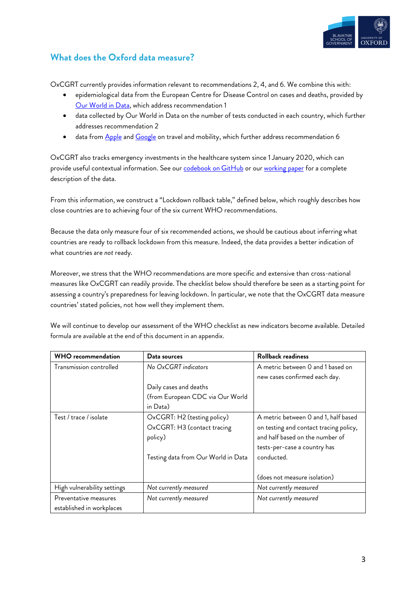

# **What does the Oxford data measure?**

OxCGRT currently provides information relevant to recommendations 2, 4, and 6. We combine this with:

- epidemiological data from the European Centre for Disease Control on cases and deaths, provided by Our World in Data, which address recommendation 1
- data collected by Our World in Data on the number of tests conducted in each country, which further addresses recommendation 2
- data from Apple and Google on travel and mobility, which further address recommendation 6

OxCGRT also tracks emergency investments in the healthcare system since 1 January 2020, which can provide useful contextual information. See our **codebook on GitHub** or our working paper for a complete description of the data.

From this information, we construct a "Lockdown rollback table," defined below, which roughly describes how close countries are to achieving four of the six current WHO recommendations.

Because the data only measure four of six recommended actions, we should be cautious about inferring what countries are ready to rollback lockdown from this measure. Indeed, the data provides a better indication of what countries are *not* ready.

Moreover, we stress that the WHO recommendations are more specific and extensive than cross-national measures like OxCGRT can readily provide. The checklist below should therefore be seen as a starting point for assessing a country's preparedness for leaving lockdown. In particular, we note that the OxCGRT data measure countries' stated policies, not how well they implement them.

We will continue to develop our assessment of the WHO checklist as new indicators become available. Detailed formula are available at the end of this document in an appendix.

| <b>WHO</b> recommendation   | Data sources                        | <b>Rollback readiness</b>              |
|-----------------------------|-------------------------------------|----------------------------------------|
| Transmission controlled     | No OxCGRT indicators                | A metric between 0 and 1 based on      |
|                             |                                     | new cases confirmed each day.          |
|                             | Daily cases and deaths              |                                        |
|                             | (from European CDC via Our World    |                                        |
|                             | in Data)                            |                                        |
| Test / trace / isolate      | OxCGRT: H2 (testing policy)         | A metric between 0 and 1, half based   |
|                             | OxCGRT: H3 (contact tracing         | on testing and contact tracing policy, |
|                             | policy)                             | and half based on the number of        |
|                             |                                     | tests-per-case a country has           |
|                             | Testing data from Our World in Data | conducted.                             |
|                             |                                     |                                        |
|                             |                                     | (does not measure isolation)           |
| High vulnerability settings | Not currently measured              | Not currently measured                 |
| Preventative measures       | Not currently measured              | Not currently measured                 |
| established in workplaces   |                                     |                                        |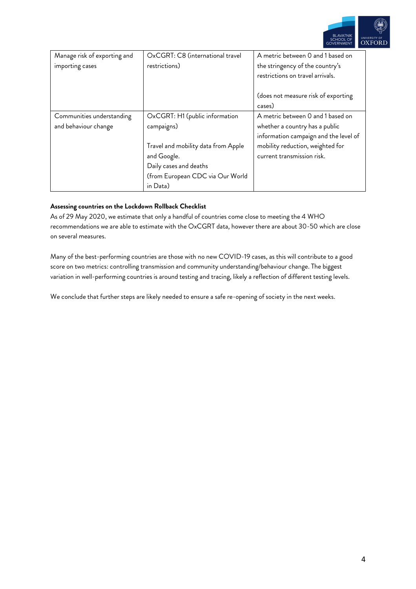

| Manage risk of exporting and | OxCGRT: C8 (international travel    | A metric between 0 and 1 based on     |
|------------------------------|-------------------------------------|---------------------------------------|
| importing cases              | restrictions)                       | the stringency of the country's       |
|                              |                                     | restrictions on travel arrivals.      |
|                              |                                     |                                       |
|                              |                                     | (does not measure risk of exporting   |
|                              |                                     | cases)                                |
| Communities understanding    | OxCGRT: H1 (public information      | A metric between 0 and 1 based on     |
| and behaviour change         | campaigns)                          | whether a country has a public        |
|                              |                                     | information campaign and the level of |
|                              | Travel and mobility data from Apple | mobility reduction, weighted for      |
|                              | and Google.                         | current transmission risk.            |
|                              | Daily cases and deaths              |                                       |
|                              | (from European CDC via Our World    |                                       |
|                              | in Data)                            |                                       |

#### **Assessing countries on the Lockdown Rollback Checklist**

As of 29 May 2020, we estimate that only a handful of countries come close to meeting the 4 WHO recommendations we are able to estimate with the OxCGRT data, however there are about 30-50 which are close on several measures.

Many of the best-performing countries are those with no new COVID-19 cases, as this will contribute to a good score on two metrics: controlling transmission and community understanding/behaviour change. The biggest variation in well-performing countries is around testing and tracing, likely a reflection of different testing levels.

We conclude that further steps are likely needed to ensure a safe re-opening of society in the next weeks.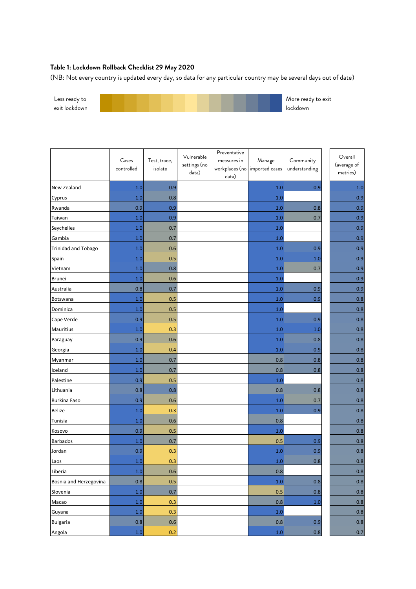### **Table 1: Lockdown Rollback Checklist 29 May 2020**

(NB: Not every country is updated every day, so data for any particular country may be several days out of date)



|                            | Cases<br>controlled | Test, trace,<br>isolate | Vulnerable<br>settings (no<br>data) | Preventative<br>measures in | Manage<br>workplaces (no imported cases | Community<br>understanding | Overall<br>(average of<br>metrics) |
|----------------------------|---------------------|-------------------------|-------------------------------------|-----------------------------|-----------------------------------------|----------------------------|------------------------------------|
| New Zealand                | 1.0                 | 0.9                     |                                     | data)                       | 1.0                                     | 0.9                        | 1.0                                |
| Cyprus                     | 1.0                 | 0.8                     |                                     |                             | 1.0                                     |                            | 0.9                                |
| Rwanda                     | 0.9                 | 0.9                     |                                     |                             | 1.0                                     | 0.8                        | 0.9                                |
| Taiwan                     | 1.0                 | 0.9                     |                                     |                             | 1.0                                     | 0.7                        | 0.9                                |
| Seychelles                 | 1.0                 | 0.7                     |                                     |                             | 1.0                                     |                            | 0.9                                |
| Gambia                     | 1.0                 | 0.7                     |                                     |                             | 1.0                                     |                            | 0.9                                |
| <b>Trinidad and Tobago</b> | 1.0                 | 0.6                     |                                     |                             | 1.0                                     | 0.9                        | 0.9                                |
| Spain                      | 1.0                 | 0.5                     |                                     |                             | 1.0                                     | 1.0                        | 0.9                                |
| Vietnam                    | 1.0                 | 0.8                     |                                     |                             | 1.0                                     | 0.7                        | 0.9                                |
| Brunei                     | 1.0                 | 0.6                     |                                     |                             | 1.0                                     |                            | 0.9                                |
| Australia                  | 0.8                 | 0.7                     |                                     |                             | 1.0                                     | 0.9                        | 0.9                                |
| Botswana                   | 1.0                 | 0.5                     |                                     |                             | 1.0                                     | 0.9                        | 0.8                                |
| Dominica                   | 1.0                 | 0.5                     |                                     |                             | 1.0                                     |                            | 0.8                                |
| Cape Verde                 | 0.9                 | 0.5                     |                                     |                             | 1.0                                     | 0.9                        | 0.8                                |
| Mauritius                  | 1.0                 | 0.3                     |                                     |                             | 1.0                                     | 1.0                        | 0.8                                |
| Paraguay                   | 0.9                 | 0.6                     |                                     |                             | 1.0                                     | 0.8                        | 0.8                                |
| Georgia                    | 1.0                 | 0.4                     |                                     |                             | 1.0                                     | 0.9                        | 0.8                                |
| Myanmar                    | 1.0                 | 0.7                     |                                     |                             | 0.8                                     | 0.8                        | 0.8                                |
| Iceland                    | 1.0                 | 0.7                     |                                     |                             | 0.8                                     | 0.8                        | 0.8                                |
| Palestine                  | 0.9                 | 0.5                     |                                     |                             | 1.0                                     |                            | 0.8                                |
| Lithuania                  | 0.8                 | 0.8                     |                                     |                             | 0.8                                     | 0.8                        | 0.8                                |
| Burkina Faso               | 0.9                 | 0.6                     |                                     |                             | 1.0                                     | 0.7                        | 0.8                                |
| <b>Belize</b>              | 1.0                 | 0.3                     |                                     |                             | 1.0                                     | 0.9                        | $0.8\,$                            |
| Tunisia                    | 1.0                 | 0.6                     |                                     |                             | 0.8                                     |                            | 0.8                                |
| Kosovo                     | 0.9                 | 0.5                     |                                     |                             | 1.0                                     |                            | 0.8                                |
| <b>Barbados</b>            | 1.0                 | 0.7                     |                                     |                             | 0.5                                     | 0.9                        | 0.8                                |
| Jordan                     | 0.9                 | 0.3                     |                                     |                             | 1.0                                     | 0.9                        | 0.8                                |
| Laos                       | 1.0                 | 0.3                     |                                     |                             | $1.0\,$                                 | 0.8                        | 0.8                                |
| Liberia                    | $1.0\,$             | 0.6                     |                                     |                             | $0.8\,$                                 |                            | $0.8\,$                            |
| Bosnia and Herzegovina     | 0.8                 | 0.5                     |                                     |                             | $1.0$                                   | 0.8                        | 0.8                                |
| Slovenia                   | 1.0                 | 0.7                     |                                     |                             | 0.5                                     | 0.8                        | $0.8\,$                            |
| Macao                      | 1.0                 | 0.3                     |                                     |                             | 0.8                                     | 1.0                        | $0.8\,$                            |
| Guyana                     | $1.0\,$             | 0.3                     |                                     |                             | $1.0\,$                                 |                            | 0.8                                |
| <b>Bulgaria</b>            | 0.8                 | 0.6                     |                                     |                             | $0.8\,$                                 | 0.9                        | $0.8\,$                            |
| Angola                     | $1.0\,$             | 0.2                     |                                     |                             | $1.0\,$                                 | 0.8                        | $0.7\,$                            |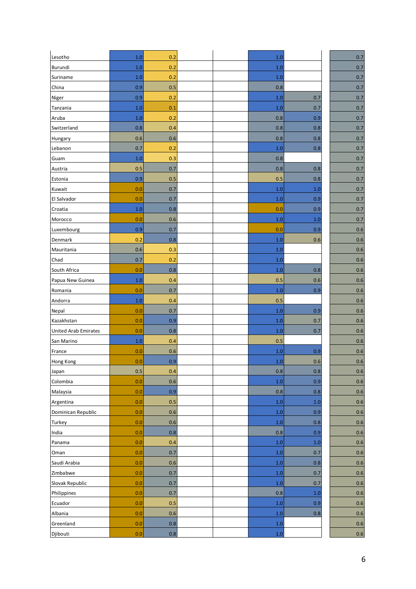| Lesotho                     | 1.0 | 0.2     |  | 1.0     |         | 0.7     |
|-----------------------------|-----|---------|--|---------|---------|---------|
| <b>Burundi</b>              | 1.0 | 0.2     |  | 1.0     |         | 0.7     |
| Suriname                    | 1.0 | 0.2     |  | 1.0     |         | 0.7     |
| China                       | 0.9 | 0.5     |  | 0.8     |         | 0.7     |
| Niger                       | 0.9 | 0.2     |  | 1.0     | 0.7     | 0.7     |
| Tanzania                    | 1.0 | 0.1     |  | 1.0     | 0.7     | 0.7     |
| Aruba                       | 1.0 | 0.2     |  | 0.8     | 0.9     | 0.7     |
| Switzerland                 | 0.8 | 0.4     |  | 0.8     | 0.8     | 0.7     |
| Hungary                     | 0.6 | 0.6     |  | 0.8     | 0.8     | 0.7     |
| Lebanon                     | 0.7 | 0.2     |  | 1.0     | 0.8     | 0.7     |
| Guam                        | 1.0 | 0.3     |  | 0.8     |         | 0.7     |
| Austria                     | 0.5 | 0.7     |  | 0.8     | 0.8     | 0.7     |
| Estonia                     | 0.9 | 0.5     |  | 0.5     | 0.8     | 0.7     |
| Kuwait                      | 0.0 | 0.7     |  | 1.0     | 1.0     | 0.7     |
| El Salvador                 | 0.0 | 0.7     |  | 1.0     | 0.9     | 0.7     |
| Croatia                     | 1.0 | 0.8     |  | 0.0     | 0.9     | 0.7     |
| Morocco                     | 0.0 | 0.6     |  | 1.0     | 1.0     | 0.7     |
| Luxembourg                  | 0.9 | 0.7     |  | 0.0     | 0.9     | $0.6\,$ |
| Denmark                     | 0.2 | 0.8     |  | 1.0     | 0.6     | 0.6     |
| Mauritania                  | 0.6 | 0.3     |  | 1.0     |         | 0.6     |
| Chad                        | 0.7 | 0.2     |  | 1.0     |         | 0.6     |
| South Africa                | 0.0 | 0.8     |  | 1.0     | 0.8     | 0.6     |
| Papua New Guinea            | 1.0 | 0.4     |  | 0.5     | 0.6     | 0.6     |
| Romania                     | 0.0 | 0.7     |  | 1.0     | 0.9     | $0.6\,$ |
| Andorra                     | 1.0 | 0.4     |  | 0.5     |         | 0.6     |
| Nepal                       | 0.0 | 0.7     |  | 1.0     | 0.9     | 0.6     |
| Kazakhstan                  | 0.0 | 0.9     |  | 1.0     | 0.7     | 0.6     |
| <b>United Arab Emirates</b> | 0.0 | 0.8     |  | 1.0     | 0.7     | 0.6     |
| San Marino                  | 1.0 | 0.4     |  | 0.5     |         | 0.6     |
| France                      | 0.0 | 0.6     |  | 1.0     | 0.9     | 0.6     |
| Hong Kong                   | 0.0 | 0.9     |  | $1.0\,$ | 0.6     | 0.6     |
| Japan                       | 0.5 | 0.4     |  | 0.8     | 0.8     | $0.6\,$ |
| Colombia                    | 0.0 | 0.6     |  | $1.0\,$ | 0.9     | 0.6     |
| Malaysia                    | 0.0 | 0.9     |  | 0.8     | 0.8     | 0.6     |
| Argentina                   | 0.0 | 0.5     |  | 1.0     | $1.0\,$ | $0.6\,$ |
| Dominican Republic          | 0.0 | 0.6     |  | 1.0     | 0.9     | $0.6\,$ |
| Turkey                      | 0.0 | 0.6     |  | $1.0\,$ | 0.8     | $0.6\,$ |
| India                       | 0.0 | 0.8     |  | 0.8     | 0.9     | $0.6\,$ |
| Panama                      | 0.0 | 0.4     |  | $1.0\,$ | 1.0     | 0.6     |
| Oman                        | 0.0 | 0.7     |  | $1.0\,$ | 0.7     | 0.6     |
| Saudi Arabia                | 0.0 | $0.6\,$ |  | 1.0     | 0.8     | $0.6\,$ |
| Zimbabwe                    | 0.0 | 0.7     |  | 1.0     | 0.7     | 0.6     |
| Slovak Republic             | 0.0 | 0.7     |  | $1.0\,$ | 0.7     | 0.6     |
| Philippines                 | 0.0 | 0.7     |  | 0.8     | 1.0     | $0.6\,$ |
| Ecuador                     | 0.0 | 0.5     |  | 1.0     | 0.9     | 0.6     |
| Albania                     | 0.0 | $0.6\,$ |  | 1.0     | 0.8     | 0.6     |
| Greenland                   | 0.0 | 0.8     |  | 1.0     |         | 0.6     |
| Djibouti                    | 0.0 | 0.8     |  | $1.0\,$ |         | 0.6     |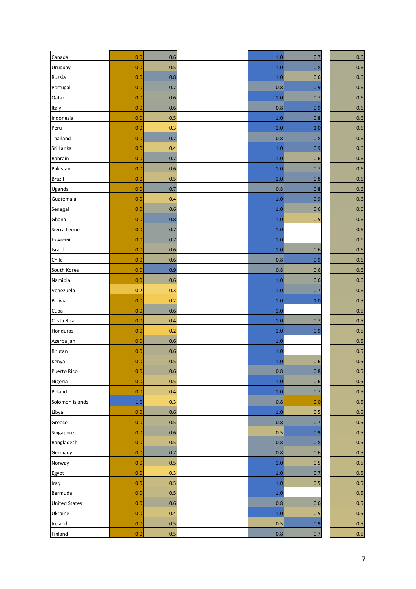| Canada               | 0.0 | 0.6     |  | 1.0     | 0.7     | $0.6\,$ |
|----------------------|-----|---------|--|---------|---------|---------|
| Uruguay              | 0.0 | 0.5     |  | 1.0     | 0.8     | 0.6     |
| Russia               | 0.0 | 0.8     |  | 1.0     | 0.6     | 0.6     |
| Portugal             | 0.0 | 0.7     |  | 0.8     | 0.9     | 0.6     |
| Qatar                | 0.0 | 0.6     |  | 1.0     | 0.7     | 0.6     |
| Italy                | 0.0 | 0.6     |  | 0.8     | 0.9     | $0.6\,$ |
| Indonesia            | 0.0 | 0.5     |  | 1.0     | 0.8     | 0.6     |
| Peru                 | 0.0 | 0.3     |  | 1.0     | 1.0     | 0.6     |
| Thailand             | 0.0 | 0.7     |  | 0.8     | 0.8     | 0.6     |
| Sri Lanka            | 0.0 | 0.4     |  | 1.0     | 0.9     | 0.6     |
| <b>Bahrain</b>       | 0.0 | 0.7     |  | 1.0     | 0.6     | 0.6     |
| Pakistan             | 0.0 | 0.6     |  | 1.0     | 0.7     | 0.6     |
| <b>Brazil</b>        | 0.0 | 0.5     |  | 1.0     | 0.8     | 0.6     |
| Uganda               | 0.0 | 0.7     |  | 0.8     | 0.8     | 0.6     |
| Guatemala            | 0.0 | 0.4     |  | 1.0     | 0.9     | 0.6     |
| Senegal              | 0.0 | 0.6     |  | 1.0     | 0.6     | 0.6     |
| Ghana                | 0.0 | 0.8     |  | 1.0     | 0.5     | 0.6     |
| Sierra Leone         | 0.0 | 0.7     |  | 1.0     |         | 0.6     |
| Eswatini             | 0.0 | 0.7     |  | 1.0     |         | 0.6     |
| Israel               | 0.0 | 0.6     |  | 1.0     | 0.6     | 0.6     |
| Chile                | 0.0 | 0.6     |  | 0.8     | 0.9     | 0.6     |
| South Korea          | 0.0 | 0.9     |  | 0.8     | 0.6     | 0.6     |
| Namibia              | 0.0 | 0.6     |  | 1.0     | 0.6     | 0.6     |
| Venezuela            | 0.2 | 0.3     |  | 1.0     | 0.7     | 0.6     |
| <b>Bolivia</b>       | 0.0 | 0.2     |  | 1.0     | 1.0     | 0.5     |
| Cuba                 | 0.0 | 0.6     |  | 1.0     |         | 0.5     |
| Costa Rica           | 0.0 | 0.4     |  | 1.0     | 0.7     | 0.5     |
| Honduras             | 0.0 | 0.2     |  | 1.0     | 0.9     | 0.5     |
| Azerbaijan           | 0.0 | 0.6     |  | 1.0     |         | 0.5     |
| Bhutan               | 0.0 | 0.6     |  | 1.0     |         | 0.5     |
| Kenya                | 0.0 | 0.5     |  | $1.0\,$ | 0.6     | 0.5     |
| Puerto Rico          | 0.0 | $0.6\,$ |  | 0.8     | $0.8\,$ | 0.5     |
| Nigeria              | 0.0 | 0.5     |  | $1.0\,$ | 0.6     | 0.5     |
| Poland               | 0.0 | 0.4     |  | 1.0     | 0.7     | 0.5     |
| Solomon Islands      | 1.0 | 0.3     |  | 0.8     | 0.0     | 0.5     |
| Libya                | 0.0 | $0.6\,$ |  | $1.0\,$ | 0.5     | 0.5     |
| Greece               | 0.0 | $0.5\,$ |  | 0.8     | 0.7     | 0.5     |
| Singapore            | 0.0 | 0.6     |  | 0.5     | 0.9     | 0.5     |
| Bangladesh           | 0.0 | 0.5     |  | 0.8     | 0.8     | 0.5     |
| Germany              | 0.0 | 0.7     |  | $0.8\,$ | 0.6     | 0.5     |
| Norway               | 0.0 | 0.5     |  | $1.0\,$ | 0.5     | 0.5     |
| Egypt                | 0.0 | 0.3     |  | $1.0\,$ | 0.7     | 0.5     |
| Iraq                 | 0.0 | 0.5     |  | $1.0\,$ | 0.5     | 0.5     |
| Bermuda              | 0.0 | 0.5     |  | $1.0\,$ |         | 0.5     |
| <b>United States</b> | 0.0 | 0.6     |  | 0.8     | 0.6     | 0.5     |
| Ukraine              | 0.0 | 0.4     |  | $1.0\,$ | 0.5     | 0.5     |
| Ireland              | 0.0 | $0.5\,$ |  | 0.5     | 0.9     | 0.5     |
| Finland              | 0.0 | 0.5     |  | $0.8\,$ | 0.7     | 0.5     |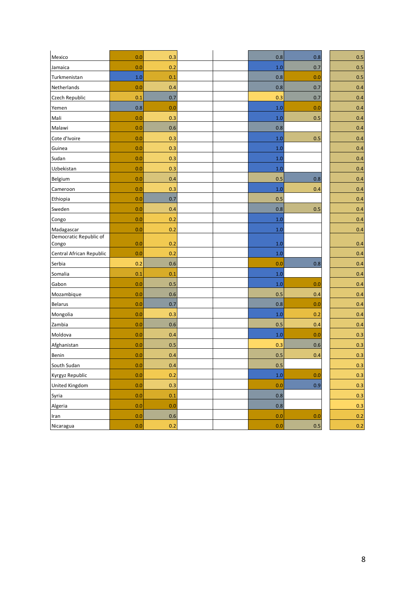| Mexico                          | 0.0 | 0.3 |  | 0.8     | 0.8 | 0.5 |
|---------------------------------|-----|-----|--|---------|-----|-----|
| Jamaica                         | 0.0 | 0.2 |  | 1.0     | 0.7 | 0.5 |
| Turkmenistan                    | 1.0 | 0.1 |  | 0.8     | 0.0 | 0.5 |
| Netherlands                     | 0.0 | 0.4 |  | 0.8     | 0.7 | 0.4 |
| Czech Republic                  | 0.1 | 0.7 |  | 0.3     | 0.7 | 0.4 |
| Yemen                           | 0.8 | 0.0 |  | 1.0     | 0.0 | 0.4 |
| Mali                            | 0.0 | 0.3 |  | 1.0     | 0.5 | 0.4 |
| Malawi                          | 0.0 | 0.6 |  | 0.8     |     | 0.4 |
| Cote d'Ivoire                   | 0.0 | 0.3 |  | 1.0     | 0.5 | 0.4 |
| Guinea                          | 0.0 | 0.3 |  | 1.0     |     | 0.4 |
| Sudan                           | 0.0 | 0.3 |  | 1.0     |     | 0.4 |
| Uzbekistan                      | 0.0 | 0.3 |  | 1.0     |     | 0.4 |
| Belgium                         | 0.0 | 0.4 |  | 0.5     | 0.8 | 0.4 |
| Cameroon                        | 0.0 | 0.3 |  | 1.0     | 0.4 | 0.4 |
| Ethiopia                        | 0.0 | 0.7 |  | 0.5     |     | 0.4 |
| Sweden                          | 0.0 | 0.4 |  | 0.8     | 0.5 | 0.4 |
| Congo                           | 0.0 | 0.2 |  | 1.0     |     | 0.4 |
| Madagascar                      | 0.0 | 0.2 |  | 1.0     |     | 0.4 |
| Democratic Republic of<br>Congo | 0.0 | 0.2 |  | 1.0     |     | 0.4 |
| Central African Republic        | 0.0 | 0.2 |  | 1.0     |     | 0.4 |
| Serbia                          | 0.2 | 0.6 |  | 0.0     | 0.8 | 0.4 |
| Somalia                         | 0.1 | 0.1 |  | 1.0     |     | 0.4 |
| Gabon                           | 0.0 | 0.5 |  | 1.0     | 0.0 | 0.4 |
| Mozambique                      | 0.0 | 0.6 |  | 0.5     | 0.4 | 0.4 |
| <b>Belarus</b>                  | 0.0 | 0.7 |  | 0.8     | 0.0 | 0.4 |
| Mongolia                        | 0.0 | 0.3 |  | 1.0     | 0.2 | 0.4 |
| Zambia                          | 0.0 | 0.6 |  | 0.5     | 0.4 | 0.4 |
| Moldova                         | 0.0 | 0.4 |  | 1.0     | 0.0 | 0.3 |
| Afghanistan                     | 0.0 | 0.5 |  | 0.3     | 0.6 | 0.3 |
| Benin                           | 0.0 | 0.4 |  | 0.5     | 0.4 | 0.3 |
| South Sudan                     | 0.0 | 0.4 |  | 0.5     |     | 0.3 |
| Kyrgyz Republic                 | 0.0 | 0.2 |  | $1.0\,$ | 0.0 | 0.3 |
| <b>United Kingdom</b>           | 0.0 | 0.3 |  | 0.0     | 0.9 | 0.3 |
| Syria                           | 0.0 | 0.1 |  | 0.8     |     | 0.3 |
| Algeria                         | 0.0 | 0.0 |  | 0.8     |     | 0.3 |
| Iran                            | 0.0 | 0.6 |  | 0.0     | 0.0 | 0.2 |
| Nicaragua                       | 0.0 | 0.2 |  | 0.0     | 0.5 | 0.2 |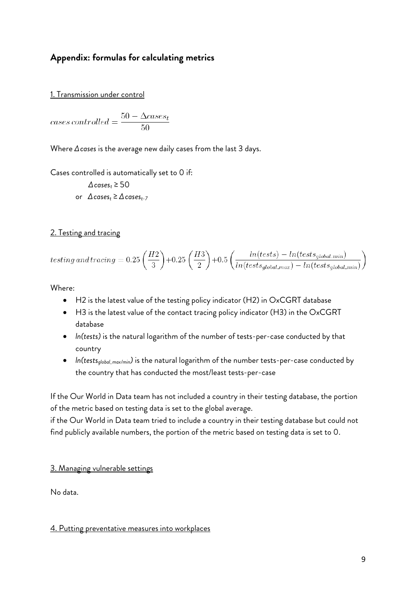# **Appendix: formulas for calculating metrics**

1. Transmission under control

cases controlled =  $\frac{50 - \Delta cases_t}{50}$ 

Where *Δcases* is the average new daily cases from the last 3 days.

Cases controlled is automatically set to 0 if:

 $\Delta$ *cases<sub>t</sub>* ≥ 50 or  $\Delta$ *cases<sub>t</sub>*  $\geq$   $\Delta$ *cases<sub>t-7</sub>* 

# 2. Testing and tracing

$$
testing\,and\, tracing=0.25\left(\frac{H2}{3}\right)+0.25\left(\frac{H3}{2}\right)+0.5\left(\frac{ln(tests)-ln(test_{global,min})}{ln(test_{global,max})-ln(test_{global,min})}\right)
$$

Where:

- H2 is the latest value of the testing policy indicator (H2) in OxCGRT database
- H3 is the latest value of the contact tracing policy indicator (H3) in the OxCGRT database
- *ln(tests)* is the natural logarithm of the number of tests-per-case conducted by that country
- *ln(testsglobal\_max/min)* is the natural logarithm of the number tests-per-case conducted by the country that has conducted the most/least tests-per-case

If the Our World in Data team has not included a country in their testing database, the portion of the metric based on testing data is set to the global average.

if the Our World in Data team tried to include a country in their testing database but could not find publicly available numbers, the portion of the metric based on testing data is set to 0.

# 3. Managing vulnerable settings

No data.

#### 4. Putting preventative measures into workplaces